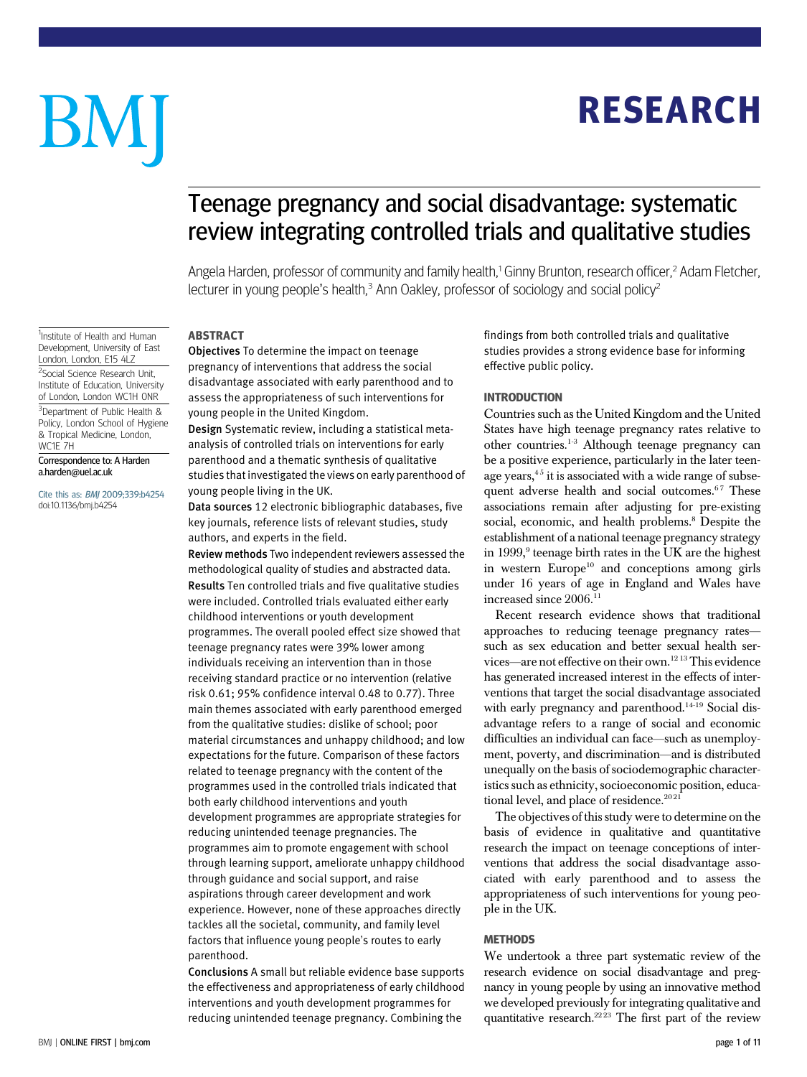# **RESEARCH** RESEARCH

# BM

# Teenage pregnancy and social disadvantage: systematic review integrating controlled trials and qualitative studies

Angela Harden, professor of community and family health,<sup>1</sup> Ginny Brunton, research officer,<sup>2</sup> Adam Fletcher, lecturer in young people's health, $3$  Ann Oakley, professor of sociology and social policy $2$ 

## **ABSTRACT**

Objectives To determine the impact on teenage pregnancy of interventions that address the social disadvantage associated with early parenthood and to assess the appropriateness of such interventions for young people in the United Kingdom.

Design Systematic review, including a statistical metaanalysis of controlled trials on interventions for early parenthood and a thematic synthesis of qualitative studies that investigated the views on early parenthood of young people living in the UK.

Data sources 12 electronic bibliographic databases, five key journals, reference lists of relevant studies, study authors, and experts in the field.

Review methods Two independent reviewers assessed the methodological quality of studies and abstracted data. Results Ten controlled trials and five qualitative studies were included. Controlled trials evaluated either early childhood interventions or youth development programmes. The overall pooled effect size showed that teenage pregnancy rates were 39% lower among individuals receiving an intervention than in those receiving standard practice or no intervention (relative risk 0.61; 95% confidence interval 0.48 to 0.77). Three main themes associated with early parenthood emerged from the qualitative studies: dislike of school; poor material circumstances and unhappy childhood; and low expectations for the future. Comparison of these factors related to teenage pregnancy with the content of the programmes used in the controlled trials indicated that both early childhood interventions and youth development programmes are appropriate strategies for reducing unintended teenage pregnancies. The programmes aim to promote engagement with school through learning support, ameliorate unhappy childhood through guidance and social support, and raise aspirations through career development and work experience. However, none of these approaches directly tackles all the societal, community, and family level factors that influence young people's routes to early parenthood.

Conclusions A small but reliable evidence base supports the effectiveness and appropriateness of early childhood interventions and youth development programmes for reducing unintended teenage pregnancy. Combining the

findings from both controlled trials and qualitative studies provides a strong evidence base for informing effective public policy.

**Countries such as the United Kingdom and the United** States have high teenage pregnancy rates relative to other countries.1-3 Although teenage pregnancy can be a positive experience, particularly in the later teenage years, $4<sup>5</sup>$  it is associated with a wide range of subsequent adverse health and social outcomes.<sup>67</sup> These associations remain after adjusting for pre-existing social, economic, and health problems.<sup>8</sup> Despite the establishment of a national teenage pregnancy strategy in 1999, $9$  teenage birth rates in the UK are the highest in western  $Europe<sup>10</sup>$  and conceptions among girls under 16 years of age in England and Wales have increased since 2006.<sup>11</sup>

Recent research evidence shows that traditional approaches to reducing teenage pregnancy rates such as sex education and better sexual health services—are not effective on their own.12 13This evidence has generated increased interest in the effects of interventions that target the social disadvantage associated with early pregnancy and parenthood.<sup>14-19</sup> Social disadvantage refers to a range of social and economic difficulties an individual can face—such as unemployment, poverty, and discrimination—and is distributed unequally on the basis of sociodemographic characteristics such as ethnicity, socioeconomic position, educational level, and place of residence.<sup>2021</sup>

The objectives of this study were to determine on the basis of evidence in qualitative and quantitative research the impact on teenage conceptions of interventions that address the social disadvantage associated with early parenthood and to assess the appropriateness of such interventions for young people in the UK.

## **METHODS**

We undertook a three part systematic review of the research evidence on social disadvantage and pregnancy in young people by using an innovative method we developed previously for integrating qualitative and quantitative research.<sup>2223</sup> The first part of the review

<sup>1</sup>Institute of Health and Human Development, University of East London, London, E15 4LZ

<sup>2</sup>Social Science Research Unit, Institute of Education, University of London, London WC1H 0NR

<sup>3</sup>Department of Public Health & Policy, London School of Hygiene & Tropical Medicine, London, WC1E 7H

## Correspondence to: A Harden a.harden@uel.ac.uk

Cite this as: BMJ 2009;339:b4254 doi:10.1136/bmj.b4254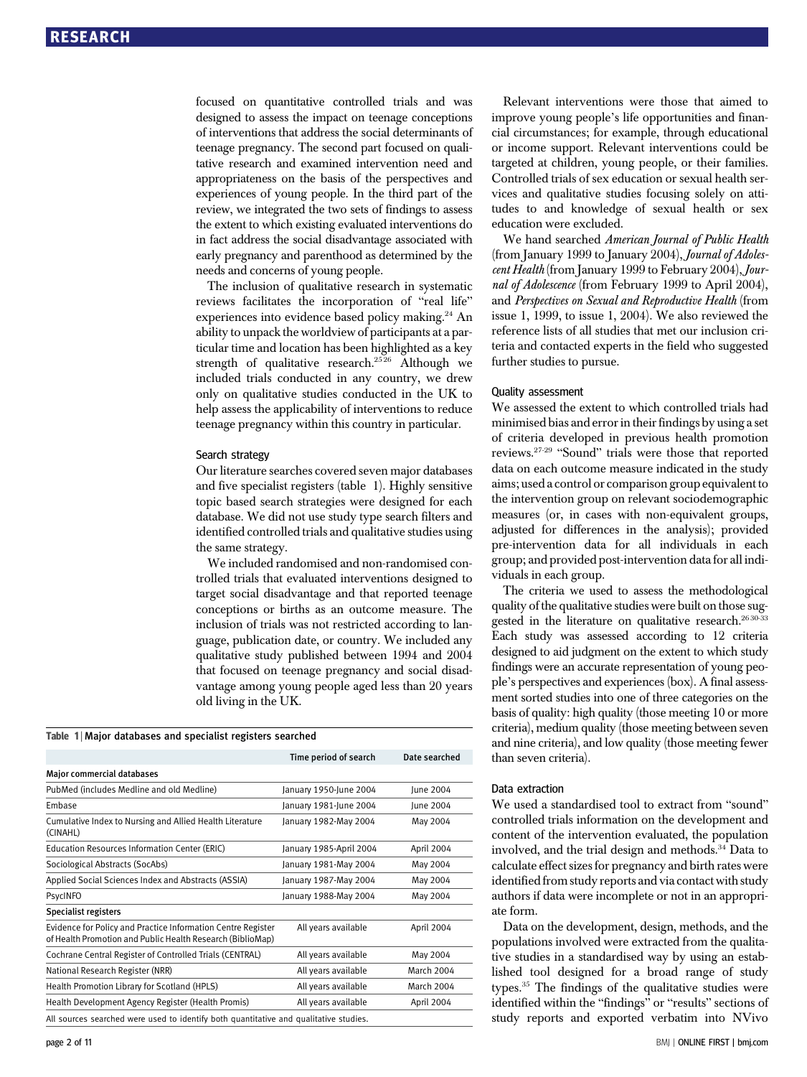focused on quantitative controlled trials and was designed to assess the impact on teenage conceptions of interventions that address the social determinants of teenage pregnancy. The second part focused on qualitative research and examined intervention need and appropriateness on the basis of the perspectives and experiences of young people. In the third part of the review, we integrated the two sets of findings to assess the extent to which existing evaluated interventions do in fact address the social disadvantage associated with early pregnancy and parenthood as determined by the needs and concerns of young people.

The inclusion of qualitative research in systematic reviews facilitates the incorporation of "real life" experiences into evidence based policy making.<sup>24</sup> An ability to unpack the worldview of participants at a particular time and location has been highlighted as a key strength of qualitative research.<sup>2526</sup> Although we included trials conducted in any country, we drew only on qualitative studies conducted in the UK to help assess the applicability of interventions to reduce teenage pregnancy within this country in particular.

## Search strategy

Our literature searches covered seven major databases and five specialist registers (table 1). Highly sensitive topic based search strategies were designed for each database. We did not use study type search filters and identified controlled trials and qualitative studies using the same strategy.

We included randomised and non-randomised controlled trials that evaluated interventions designed to target social disadvantage and that reported teenage conceptions or births as an outcome measure. The inclusion of trials was not restricted according to language, publication date, or country. We included any qualitative study published between 1994 and 2004 that focused on teenage pregnancy and social disadvantage among young people aged less than 20 years old living in the UK.

## Table 1 | Major databases and specialist registers searched

|                                                                                                                            | Time period of search   | Date searched     |
|----------------------------------------------------------------------------------------------------------------------------|-------------------------|-------------------|
| <b>Major commercial databases</b>                                                                                          |                         |                   |
| PubMed (includes Medline and old Medline)                                                                                  | January 1950-June 2004  | June 2004         |
| Embase                                                                                                                     | January 1981-June 2004  | June 2004         |
| Cumulative Index to Nursing and Allied Health Literature<br>(CINAHL)                                                       | January 1982-May 2004   | May 2004          |
| Education Resources Information Center (ERIC)                                                                              | January 1985-April 2004 | April 2004        |
| Sociological Abstracts (SocAbs)                                                                                            | January 1981-May 2004   | May 2004          |
| Applied Social Sciences Index and Abstracts (ASSIA)                                                                        | January 1987-May 2004   | May 2004          |
| PsycINFO                                                                                                                   | January 1988-May 2004   | May 2004          |
| Specialist registers                                                                                                       |                         |                   |
| Evidence for Policy and Practice Information Centre Register<br>of Health Promotion and Public Health Research (BiblioMap) | All years available     | April 2004        |
| Cochrane Central Register of Controlled Trials (CENTRAL)                                                                   | All years available     | May 2004          |
| National Research Register (NRR)                                                                                           | All years available     | <b>March 2004</b> |
| Health Promotion Library for Scotland (HPLS)                                                                               | All years available     | <b>March 2004</b> |
| Health Development Agency Register (Health Promis)                                                                         | All years available     | April 2004        |
| All sources searched were used to identify both quantitative and qualitative studies.                                      |                         |                   |

Relevant interventions were those that aimed to improve young people's life opportunities and financial circumstances; for example, through educational or income support. Relevant interventions could be targeted at children, young people, or their families. Controlled trials of sex education or sexual health services and qualitative studies focusing solely on attitudes to and knowledge of sexual health or sex education were excluded.

We hand searched American Journal of Public Health (from January 1999 to January 2004), Journal of Adolescent Health (from January 1999 to February 2004), Journal of Adolescence (from February 1999 to April 2004), and Perspectives on Sexual and Reproductive Health (from issue 1, 1999, to issue 1, 2004). We also reviewed the reference lists of all studies that met our inclusion criteria and contacted experts in the field who suggested further studies to pursue.

## Quality assessment

We assessed the extent to which controlled trials had minimised bias and error in their findings by using a set of criteria developed in previous health promotion reviews.27-29 "Sound" trials were those that reported data on each outcome measure indicated in the study aims; used a control or comparison group equivalent to the intervention group on relevant sociodemographic measures (or, in cases with non-equivalent groups, adjusted for differences in the analysis); provided pre-intervention data for all individuals in each group; and provided post-intervention data for all individuals in each group.

The criteria we used to assess the methodological quality of the qualitative studies were built on those suggested in the literature on qualitative research.<sup>2630-33</sup> Each study was assessed according to 12 criteria designed to aid judgment on the extent to which study findings were an accurate representation of young people's perspectives and experiences (box). A final assessment sorted studies into one of three categories on the basis of quality: high quality (those meeting 10 or more criteria), medium quality (those meeting between seven and nine criteria), and low quality (those meeting fewer than seven criteria).

## Data extraction

We used a standardised tool to extract from "sound" controlled trials information on the development and content of the intervention evaluated, the population involved, and the trial design and methods.34 Data to calculate effect sizes for pregnancy and birth rates were identified from study reports and via contact with study authors if data were incomplete or not in an appropriate form.

Data on the development, design, methods, and the populations involved were extracted from the qualitative studies in a standardised way by using an established tool designed for a broad range of study types.35 The findings of the qualitative studies were identified within the "findings" or "results" sections of study reports and exported verbatim into NVivo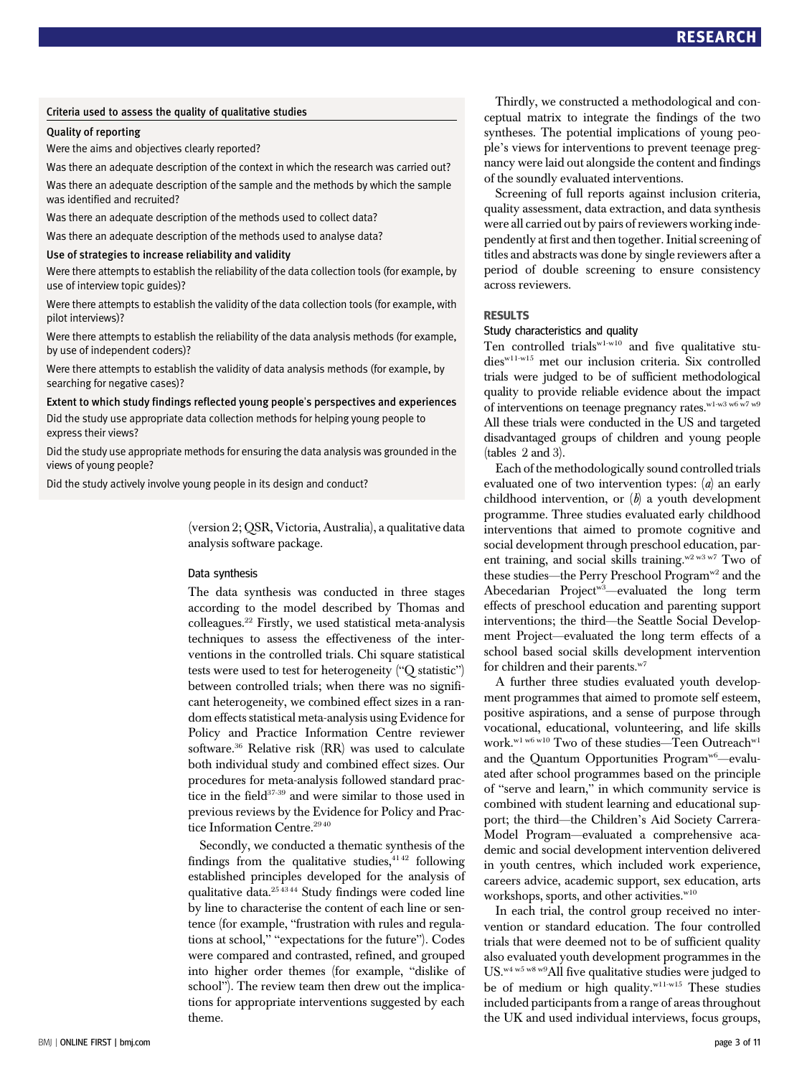## Criteria used to assess the quality of qualitative studies

## Quality of reporting

Were the aims and objectives clearly reported?

Was there an adequate description of the context in which the research was carried out?

Was there an adequate description of the sample and the methods by which the sample was identified and recruited?

Was there an adequate description of the methods used to collect data?

Was there an adequate description of the methods used to analyse data?

## Use of strategies to increase reliability and validity

Were there attempts to establish the reliability of the data collection tools (for example, by use of interview topic guides)?

Were there attempts to establish the validity of the data collection tools (for example, with pilot interviews)?

Were there attempts to establish the reliability of the data analysis methods (for example, by use of independent coders)?

Were there attempts to establish the validity of data analysis methods (for example, by searching for negative cases)?

Extent to which study findings reflected young people's perspectives and experiences Did the study use appropriate data collection methods for helping young people to express their views?

Did the study use appropriate methods for ensuring the data analysis was grounded in the views of young people?

Did the study actively involve young people in its design and conduct?

(version 2; QSR, Victoria, Australia), a qualitative data analysis software package.

## Data synthesis

The data synthesis was conducted in three stages according to the model described by Thomas and colleagues.22 Firstly, we used statistical meta-analysis techniques to assess the effectiveness of the interventions in the controlled trials. Chi square statistical tests were used to test for heterogeneity ("Q statistic") between controlled trials; when there was no significant heterogeneity, we combined effect sizes in a random effects statistical meta-analysis using Evidence for Policy and Practice Information Centre reviewer software.36 Relative risk (RR) was used to calculate both individual study and combined effect sizes. Our procedures for meta-analysis followed standard practice in the field<sup>37-39</sup> and were similar to those used in previous reviews by the Evidence for Policy and Practice Information Centre.<sup>2940</sup>

Secondly, we conducted a thematic synthesis of the findings from the qualitative studies, $4142$  following established principles developed for the analysis of qualitative data.25 43 44 Study findings were coded line by line to characterise the content of each line or sentence (for example, "frustration with rules and regulations at school," "expectations for the future"). Codes were compared and contrasted, refined, and grouped into higher order themes (for example, "dislike of school"). The review team then drew out the implications for appropriate interventions suggested by each theme.

Thirdly, we constructed a methodological and conceptual matrix to integrate the findings of the two syntheses. The potential implications of young people's views for interventions to prevent teenage pregnancy were laid out alongside the content and findings of the soundly evaluated interventions.

Screening of full reports against inclusion criteria, quality assessment, data extraction, and data synthesis were all carried out by pairs of reviewers working independently at first and then together. Initial screening of titles and abstracts was done by single reviewers after a period of double screening to ensure consistency across reviewers.

# **SHOCOLTS**<br>Study characteristics and quality

Ten controlled trials $w_1-w_10$  and five qualitative studiesw11-w15 met our inclusion criteria. Six controlled trials were judged to be of sufficient methodological quality to provide reliable evidence about the impact of interventions on teenage pregnancy rates. $w_1$ -w<sub>3</sub> w<sub>6</sub> w<sub>7</sub> w<sub>9</sub> All these trials were conducted in the US and targeted disadvantaged groups of children and young people (tables 2 and 3).

Each of the methodologically sound controlled trials evaluated one of two intervention types: (a) an early childhood intervention, or  $(b)$  a youth development programme. Three studies evaluated early childhood interventions that aimed to promote cognitive and social development through preschool education, parent training, and social skills training.<sup>w2 w3 w7</sup> Two of these studies—the Perry Preschool Program<sup>w2</sup> and the Abecedarian Project<sup>w3</sup>—evaluated the long term effects of preschool education and parenting support interventions; the third—the Seattle Social Development Project—evaluated the long term effects of a school based social skills development intervention for children and their parents.<sup>w7</sup>

A further three studies evaluated youth development programmes that aimed to promote self esteem, positive aspirations, and a sense of purpose through vocational, educational, volunteering, and life skills work.<br>w1 w6 w10 Two of these studies—Teen Outreach<br/>w1 and the Quantum Opportunities Program<sup>w6</sup>—evaluated after school programmes based on the principle of "serve and learn," in which community service is combined with student learning and educational support; the third—the Children's Aid Society Carrera-Model Program—evaluated a comprehensive academic and social development intervention delivered in youth centres, which included work experience, careers advice, academic support, sex education, arts workshops, sports, and other activities.<sup>w10</sup>

In each trial, the control group received no intervention or standard education. The four controlled trials that were deemed not to be of sufficient quality also evaluated youth development programmes in the US.w4 w5 w8 w9All five qualitative studies were judged to be of medium or high quality. $w11-w15$  These studies included participants from a range of areas throughout the UK and used individual interviews, focus groups,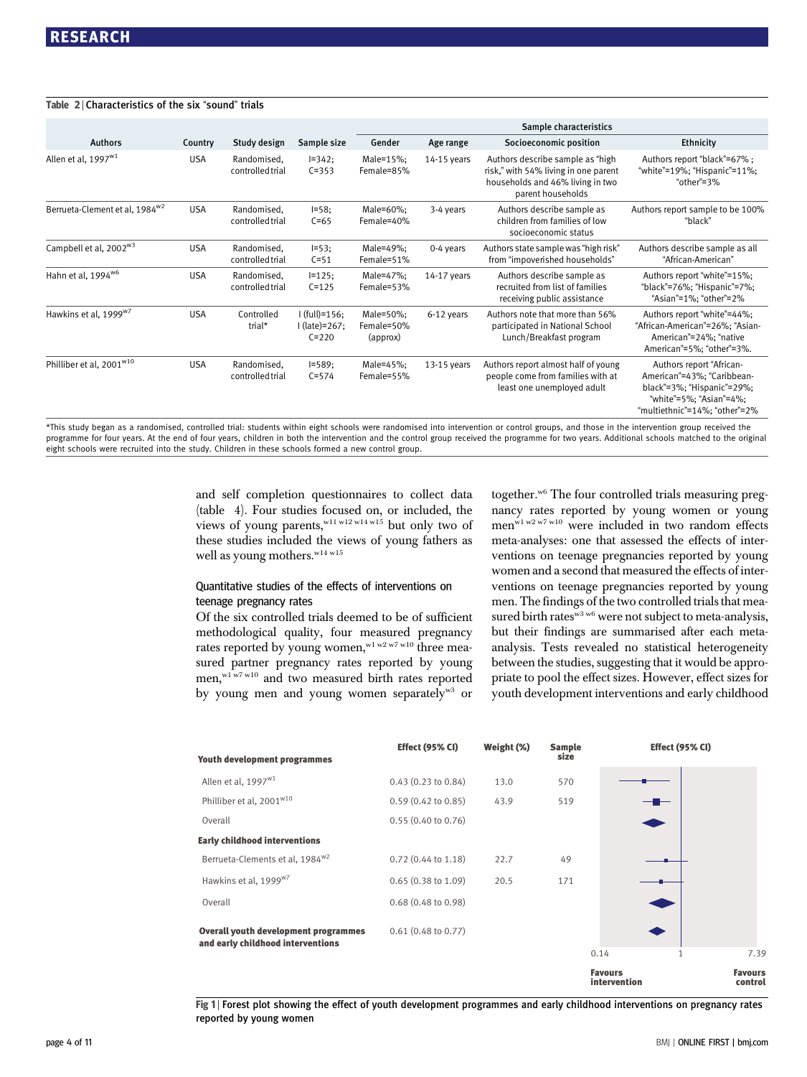## Table 2 | Characteristics of the six "sound" trials

|                                            |            |                                 |                                               | Sample characteristics              |               |                                                                                                                                   |                                                                                                                                                  |  |
|--------------------------------------------|------------|---------------------------------|-----------------------------------------------|-------------------------------------|---------------|-----------------------------------------------------------------------------------------------------------------------------------|--------------------------------------------------------------------------------------------------------------------------------------------------|--|
| <b>Authors</b>                             | Country    | Study design                    | Sample size                                   | Gender                              | Age range     | Socioeconomic position                                                                                                            | Ethnicity                                                                                                                                        |  |
| Allen et al, 1997 <sup>w1</sup>            | <b>USA</b> | Randomised.<br>controlled trial | $I=342;$<br>$C = 353$                         | Male=15%;<br>Female=85%             | $14-15$ years | Authors describe sample as "high<br>risk," with 54% living in one parent<br>households and 46% living in two<br>parent households | Authors report "black"=67%;<br>"white"=19%; "Hispanic"=11%;<br>"other"=3%                                                                        |  |
| Berrueta-Clement et al, 1984 <sup>w2</sup> | <b>USA</b> | Randomised.<br>controlled trial | $I = 58:$<br>$C = 65$                         | Male=60%:<br>Female=40%             | 3-4 years     | Authors describe sample as<br>children from families of low<br>socioeconomic status                                               | Authors report sample to be 100%<br>"black"                                                                                                      |  |
| Campbell et al, 2002 <sup>w3</sup>         | <b>USA</b> | Randomised.<br>controlled trial | $I = 53$ ;<br>$C = 51$                        | Male=49%;<br>Female=51%             | 0-4 years     | Authors state sample was "high risk"<br>from "impoverished households"                                                            | Authors describe sample as all<br>"African-American"                                                                                             |  |
| Hahn et al, 1994 <sup>w6</sup>             | <b>USA</b> | Randomised,<br>controlled trial | $I=125$ ;<br>$C = 125$                        | Male=47%;<br>Female=53%             | 14-17 years   | Authors describe sample as<br>recruited from list of families<br>receiving public assistance                                      | Authors report "white"=15%;<br>"black"=76%; "Hispanic"=7%;<br>"Asian"=1%; "other"=2%                                                             |  |
| Hawkins et al, 1999 <sup>w7</sup>          | <b>USA</b> | Controlled<br>trial*            | $I$ (full)=156;<br>I (late)=267;<br>$C = 220$ | Male=50%;<br>Female=50%<br>(approx) | 6-12 years    | Authors note that more than 56%<br>participated in National School<br>Lunch/Breakfast program                                     | Authors report "white"=44%;<br>"African-American"=26%; "Asian-<br>American"=24%; "native<br>American"=5%; "other"=3%.                            |  |
| Philliber et al, 2001 <sup>w10</sup>       | <b>USA</b> | Randomised,<br>controlled trial | $I = 589;$<br>$C = 574$                       | Male=45%;<br>Female=55%             | 13-15 years   | Authors report almost half of young<br>people come from families with at<br>least one unemployed adult                            | Authors report "African-<br>American"=43%; "Caribbean-<br>black"=3%; "Hispanic"=29%;<br>"white"=5%; "Asian"=4%;<br>"multiethnic"=14%; "other"=2% |  |

\*This study began as a randomised, controlled trial: students within eight schools were randomised into intervention or control groups, and those in the intervention group received the programme for four years. At the end of four years, children in both the intervention and the control group received the programme for two years. Additional schools matched to the original eight schools were recruited into the study. Children in these schools formed a new control group.

> and self completion questionnaires to collect data (table 4). Four studies focused on, or included, the views of young parents,<sup>w11 w12 w14 w15</sup> but only two of these studies included the views of young fathers as well as young mothers.<sup>w14 w15</sup>

## Quantitative studies of the effects of interventions on teenage pregnancy rates

Of the six controlled trials deemed to be of sufficient methodological quality, four measured pregnancy rates reported by young women, w1 w2 w7 w10 three measured partner pregnancy rates reported by young men, w1 w7 w10 and two measured birth rates reported by young men and young women separately<sup>w3</sup> or together.w6 The four controlled trials measuring pregnancy rates reported by young women or young men<sup>w1 w2 w7 w10</sup> were included in two random effects meta-analyses: one that assessed the effects of interventions on teenage pregnancies reported by young women and a second that measured the effects of interventions on teenage pregnancies reported by young men. The findings of the two controlled trials that measured birth rates<sup>w3 w6</sup> were not subject to meta-analysis, but their findings are summarised after each metaanalysis. Tests revealed no statistical heterogeneity between the studies, suggesting that it would be appropriate to pool the effect sizes. However, effect sizes for youth development interventions and early childhood

| <b>Youth development programmes</b>                                              | <b>Effect (95% CI)</b>        | Weight (%) | <b>Sample</b><br>size |                                | <b>Effect (95% CI)</b> |                           |
|----------------------------------------------------------------------------------|-------------------------------|------------|-----------------------|--------------------------------|------------------------|---------------------------|
| Allen et al, 1997 <sup>w1</sup>                                                  | 0.43(0.23 to 0.84)            | 13.0       | 570                   |                                |                        |                           |
| Philliber et al, 2001 <sup>w10</sup>                                             | $0.59(0.42 \text{ to } 0.85)$ | 43.9       | 519                   |                                | $ -$                   |                           |
| Overall                                                                          | $0.55(0.40 \text{ to } 0.76)$ |            |                       |                                |                        |                           |
| <b>Early childhood interventions</b>                                             |                               |            |                       |                                |                        |                           |
| Berrueta-Clements et al, 1984 <sup>w2</sup>                                      | $0.72$ (0.44 to 1.18)         | 22.7       | 49                    |                                |                        |                           |
| Hawkins et al, 1999 <sup>w7</sup>                                                | $0.65(0.38 \text{ to } 1.09)$ | 20.5       | 171                   |                                |                        |                           |
| Overall                                                                          | $0.68(0.48 \text{ to } 0.98)$ |            |                       |                                |                        |                           |
| <b>Overall youth development programmes</b><br>and early childhood interventions | $0.61$ (0.48 to 0.77)         |            |                       |                                |                        |                           |
|                                                                                  |                               |            |                       | 0.14                           | $\mathbf{1}$           | 7.39                      |
|                                                                                  |                               |            |                       | <b>Favours</b><br>intervention |                        | <b>Favours</b><br>control |

Fig 1 <sup>|</sup> Forest plot showing the effect of youth development programmes and early childhood interventions on pregnancy rates reported by young women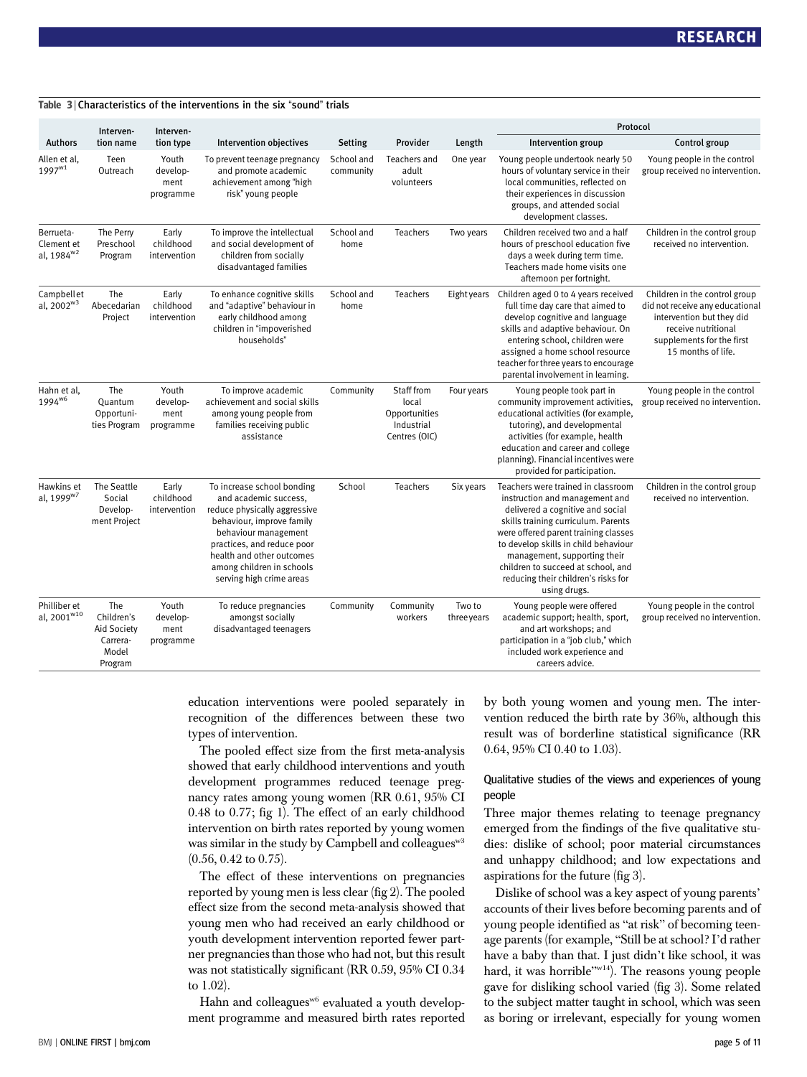|                                                   | Interven-                                                               | Interven-                              |                                                                                                                                                                                                                                                              |                         |                                                                     |                      | Protocol                                                                                                                                                                                                                                                                                                                                                     |                                                                                                                                                                         |  |
|---------------------------------------------------|-------------------------------------------------------------------------|----------------------------------------|--------------------------------------------------------------------------------------------------------------------------------------------------------------------------------------------------------------------------------------------------------------|-------------------------|---------------------------------------------------------------------|----------------------|--------------------------------------------------------------------------------------------------------------------------------------------------------------------------------------------------------------------------------------------------------------------------------------------------------------------------------------------------------------|-------------------------------------------------------------------------------------------------------------------------------------------------------------------------|--|
| <b>Authors</b>                                    | tion name                                                               | tion type                              | <b>Intervention objectives</b>                                                                                                                                                                                                                               | Setting                 | Provider                                                            | Length               | Intervention group                                                                                                                                                                                                                                                                                                                                           | Control group                                                                                                                                                           |  |
| Allen et al <b>.</b><br>$1997^{w1}$               | Teen<br>Outreach                                                        | Youth<br>develop-<br>ment<br>programme | To prevent teenage pregnancy<br>and promote academic<br>achievement among "high<br>risk" young people                                                                                                                                                        | School and<br>community | Teachers and<br>adult<br>volunteers                                 | One year             | Young people undertook nearly 50<br>hours of voluntary service in their<br>local communities, reflected on<br>their experiences in discussion<br>groups, and attended social<br>development classes.                                                                                                                                                         | Young people in the control<br>group received no intervention.                                                                                                          |  |
| Berrueta-<br>Clement et<br>al, 1984 <sup>w2</sup> | The Perry<br>Preschool<br>Program                                       | Early<br>childhood<br>intervention     | To improve the intellectual<br>and social development of<br>children from socially<br>disadvantaged families                                                                                                                                                 | School and<br>home      | Teachers                                                            | Two years            | Children received two and a half<br>hours of preschool education five<br>days a week during term time.<br>Teachers made home visits one<br>afternoon per fortnight.                                                                                                                                                                                          | Children in the control group<br>received no intervention.                                                                                                              |  |
| Campbellet<br>al, $2002^{w3}$                     | The<br>Abecedarian<br>Project                                           | Early<br>childhood<br>intervention     | To enhance cognitive skills<br>and "adaptive" behaviour in<br>early childhood among<br>children in "impoverished<br>households"                                                                                                                              | School and<br>home      | Teachers                                                            | Eight years          | Children aged 0 to 4 years received<br>full time day care that aimed to<br>develop cognitive and language<br>skills and adaptive behaviour. On<br>entering school, children were<br>assigned a home school resource<br>teacher for three years to encourage<br>parental involvement in learning.                                                             | Children in the control group<br>did not receive any educational<br>intervention but they did<br>receive nutritional<br>supplements for the first<br>15 months of life. |  |
| Hahn et al,<br>1994 <sup>w6</sup>                 | The<br>Quantum<br>Opportuni-<br>ties Program                            | Youth<br>develop-<br>ment<br>programme | To improve academic<br>achievement and social skills<br>among young people from<br>families receiving public<br>assistance                                                                                                                                   | Community               | Staff from<br>local<br>Opportunities<br>Industrial<br>Centres (OIC) | Four years           | Young people took part in<br>community improvement activities,<br>educational activities (for example,<br>tutoring), and developmental<br>activities (for example, health<br>education and career and college<br>planning). Financial incentives were<br>provided for participation.                                                                         | Young people in the control<br>group received no intervention.                                                                                                          |  |
| Hawkins et<br>al. 1999 <sup>w7</sup>              | The Seattle<br>Social<br>Develop-<br>ment Project                       | Early<br>childhood<br>intervention     | To increase school bonding<br>and academic success.<br>reduce physically aggressive<br>behaviour, improve family<br>behaviour management<br>practices, and reduce poor<br>health and other outcomes<br>among children in schools<br>serving high crime areas | School                  | Teachers                                                            | Six years            | Teachers were trained in classroom<br>instruction and management and<br>delivered a cognitive and social<br>skills training curriculum. Parents<br>were offered parent training classes<br>to develop skills in child behaviour<br>management, supporting their<br>children to succeed at school, and<br>reducing their children's risks for<br>using drugs. | Children in the control group<br>received no intervention.                                                                                                              |  |
| Philliber et<br>al, 2001 <sup>w10</sup>           | The<br>Children's<br><b>Aid Society</b><br>Carrera-<br>Model<br>Program | Youth<br>develop-<br>ment<br>programme | To reduce pregnancies<br>amongst socially<br>disadvantaged teenagers                                                                                                                                                                                         | Community               | Community<br>workers                                                | Two to<br>threeyears | Young people were offered<br>academic support; health, sport,<br>and art workshops; and<br>participation in a "job club," which<br>included work experience and<br>careers advice.                                                                                                                                                                           | Young people in the control<br>group received no intervention.                                                                                                          |  |

Table 3 | Characteristics of the interventions in the six "sound" trials

education interventions were pooled separately in recognition of the differences between these two types of intervention.

The pooled effect size from the first meta-analysis showed that early childhood interventions and youth development programmes reduced teenage pregnancy rates among young women (RR 0.61, 95% CI 0.48 to 0.77; fig 1). The effect of an early childhood intervention on birth rates reported by young women was similar in the study by Campbell and colleagues<sup>w3</sup> (0.56, 0.42 to 0.75).

The effect of these interventions on pregnancies reported by young men is less clear (fig 2). The pooled effect size from the second meta-analysis showed that young men who had received an early childhood or youth development intervention reported fewer partner pregnancies than those who had not, but this result was not statistically significant (RR 0.59, 95% CI 0.34 to 1.02).

Hahn and colleagues<sup>w6</sup> evaluated a youth development programme and measured birth rates reported by both young women and young men. The intervention reduced the birth rate by 36%, although this result was of borderline statistical significance (RR 0.64, 95% CI 0.40 to 1.03).

## Qualitative studies of the views and experiences of young people

Three major themes relating to teenage pregnancy emerged from the findings of the five qualitative studies: dislike of school; poor material circumstances and unhappy childhood; and low expectations and aspirations for the future (fig 3).

Dislike of school was a key aspect of young parents' accounts of their lives before becoming parents and of young people identified as "at risk" of becoming teenage parents (for example, "Still be at school? I'd rather have a baby than that. I just didn't like school, it was hard, it was horrible"w<sup>14</sup>). The reasons young people gave for disliking school varied (fig 3). Some related to the subject matter taught in school, which was seen as boring or irrelevant, especially for young women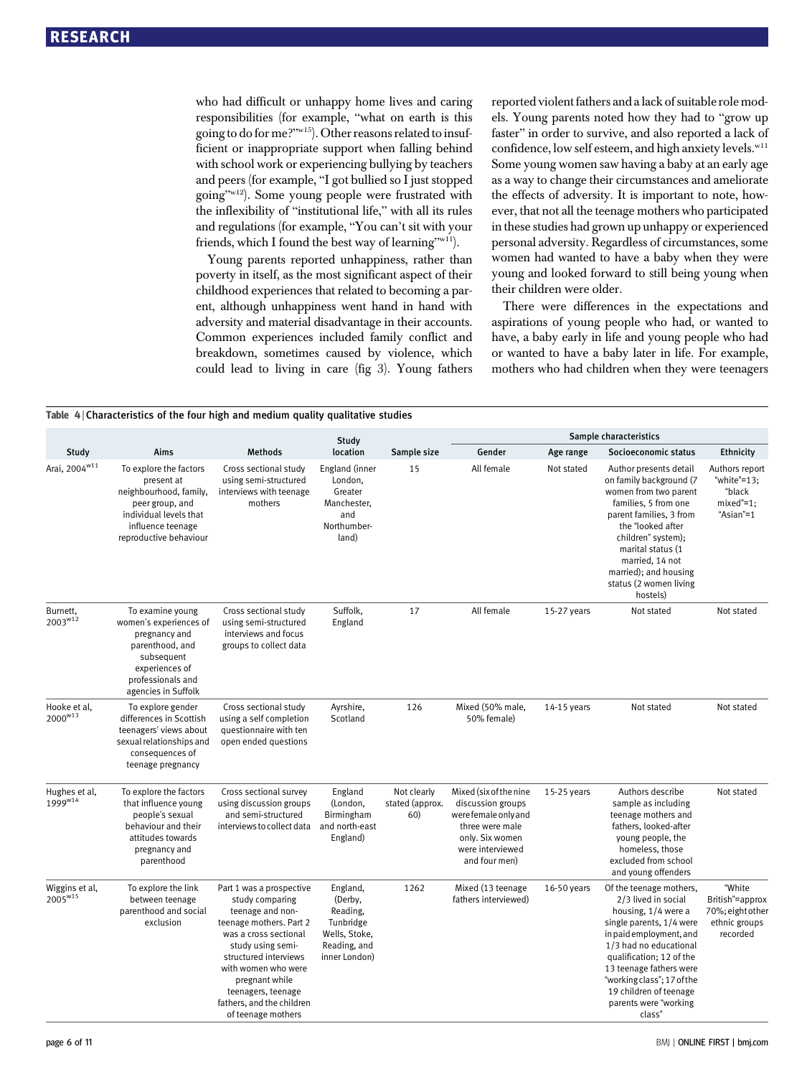who had difficult or unhappy home lives and caring responsibilities (for example, "what on earth is this going to do for me?"w15). Other reasons related to insufficient or inappropriate support when falling behind with school work or experiencing bullying by teachers and peers (for example, "I got bullied so I just stopped going"w12). Some young people were frustrated with the inflexibility of "institutional life," with all its rules and regulations (for example, "You can't sit with your friends, which I found the best way of learning"w11).

Young parents reported unhappiness, rather than poverty in itself, as the most significant aspect of their childhood experiences that related to becoming a parent, although unhappiness went hand in hand with adversity and material disadvantage in their accounts. Common experiences included family conflict and breakdown, sometimes caused by violence, which could lead to living in care (fig 3). Young fathers reported violent fathers and a lack of suitable role models. Young parents noted how they had to "grow up faster" in order to survive, and also reported a lack of confidence, low self esteem, and high anxiety levels.<sup>w11</sup> Some young women saw having a baby at an early age as a way to change their circumstances and ameliorate the effects of adversity. It is important to note, however, that not all the teenage mothers who participated in these studies had grown up unhappy or experienced personal adversity. Regardless of circumstances, some women had wanted to have a baby when they were young and looked forward to still being young when their children were older.

There were differences in the expectations and aspirations of young people who had, or wanted to have, a baby early in life and young people who had or wanted to have a baby later in life. For example, mothers who had children when they were teenagers

|                                | Table 4 Characteristics of the four high and medium quality qualitative studies                                                                            |                                                                                                                                                                                                                                                                                     |                                                                                                |                                       |                                                                                                                                               |               |                                                                                                                                                                                                                                                                                                          |                                                                            |  |
|--------------------------------|------------------------------------------------------------------------------------------------------------------------------------------------------------|-------------------------------------------------------------------------------------------------------------------------------------------------------------------------------------------------------------------------------------------------------------------------------------|------------------------------------------------------------------------------------------------|---------------------------------------|-----------------------------------------------------------------------------------------------------------------------------------------------|---------------|----------------------------------------------------------------------------------------------------------------------------------------------------------------------------------------------------------------------------------------------------------------------------------------------------------|----------------------------------------------------------------------------|--|
|                                |                                                                                                                                                            |                                                                                                                                                                                                                                                                                     | Study                                                                                          |                                       | Sample characteristics                                                                                                                        |               |                                                                                                                                                                                                                                                                                                          |                                                                            |  |
| Study                          | Aims                                                                                                                                                       | <b>Methods</b>                                                                                                                                                                                                                                                                      | location                                                                                       | Sample size                           | Gender                                                                                                                                        | Age range     | Socioeconomic status                                                                                                                                                                                                                                                                                     | Ethnicity                                                                  |  |
| Arai, 2004 <sup>w11</sup>      | To explore the factors<br>present at<br>neighbourhood, family,<br>peer group, and<br>individual levels that<br>influence teenage<br>reproductive behaviour | Cross sectional study<br>using semi-structured<br>interviews with teenage<br>mothers                                                                                                                                                                                                | England (inner<br>London,<br>Greater<br>Manchester,<br>and<br>Northumber-<br>land)             | 15                                    | All female                                                                                                                                    | Not stated    | Author presents detail<br>on family background (7<br>women from two parent<br>families, 5 from one<br>parent families, 3 from<br>the "looked after<br>children" system);<br>marital status (1<br>married, 14 not<br>married); and housing<br>status (2 women living<br>hostels)                          | Authors report<br>"white"=13;<br>"black<br>$mixed'=1$ ;<br>"Asian"=1       |  |
| Burnett,<br>$2003^{w12}$       | To examine young<br>women's experiences of<br>pregnancy and<br>parenthood, and<br>subsequent<br>experiences of<br>professionals and<br>agencies in Suffolk | Cross sectional study<br>using semi-structured<br>interviews and focus<br>groups to collect data                                                                                                                                                                                    | Suffolk,<br>England                                                                            | 17                                    | All female                                                                                                                                    | 15-27 years   | Not stated                                                                                                                                                                                                                                                                                               | Not stated                                                                 |  |
| Hooke et al,<br>$2000^{w13}$   | To explore gender<br>differences in Scottish<br>teenagers' views about<br>sexual relationships and<br>consequences of<br>teenage pregnancy                 | Cross sectional study<br>using a self completion<br>questionnaire with ten<br>open ended questions                                                                                                                                                                                  | Ayrshire,<br>Scotland                                                                          | 126                                   | Mixed (50% male,<br>50% female)                                                                                                               | 14-15 years   | Not stated                                                                                                                                                                                                                                                                                               | Not stated                                                                 |  |
| Hughes et al,<br>$1999^{w14}$  | To explore the factors<br>that influence young<br>people's sexual<br>behaviour and their<br>attitudes towards<br>pregnancy and<br>parenthood               | Cross sectional survey<br>using discussion groups<br>and semi-structured<br>interviews to collect data                                                                                                                                                                              | England<br>(London,<br>Birmingham<br>and north-east<br>England)                                | Not clearly<br>stated (approx.<br>60) | Mixed (six of the nine<br>discussion groups<br>werefemale only and<br>three were male<br>only. Six women<br>were interviewed<br>and four men) | $15-25$ years | Authors describe<br>sample as including<br>teenage mothers and<br>fathers, looked-after<br>young people, the<br>homeless, those<br>excluded from school<br>and young offenders                                                                                                                           | Not stated                                                                 |  |
| Wiggins et al,<br>$2005^{w15}$ | To explore the link<br>between teenage<br>parenthood and social<br>exclusion                                                                               | Part 1 was a prospective<br>study comparing<br>teenage and non-<br>teenage mothers. Part 2<br>was a cross sectional<br>study using semi-<br>structured interviews<br>with women who were<br>pregnant while<br>teenagers, teenage<br>fathers, and the children<br>of teenage mothers | England,<br>(Derby,<br>Reading,<br>Tunbridge<br>Wells, Stoke,<br>Reading, and<br>inner London) | 1262                                  | Mixed (13 teenage<br>fathers interviewed)                                                                                                     | 16-50 years   | Of the teenage mothers,<br>2/3 lived in social<br>housing, 1/4 were a<br>single parents, 1/4 were<br>in paid employment, and<br>1/3 had no educational<br>qualification; 12 of the<br>13 teenage fathers were<br>"working class"; 17 of the<br>19 children of teenage<br>parents were "working<br>class" | "White<br>British"=approx<br>70%; eight other<br>ethnic groups<br>recorded |  |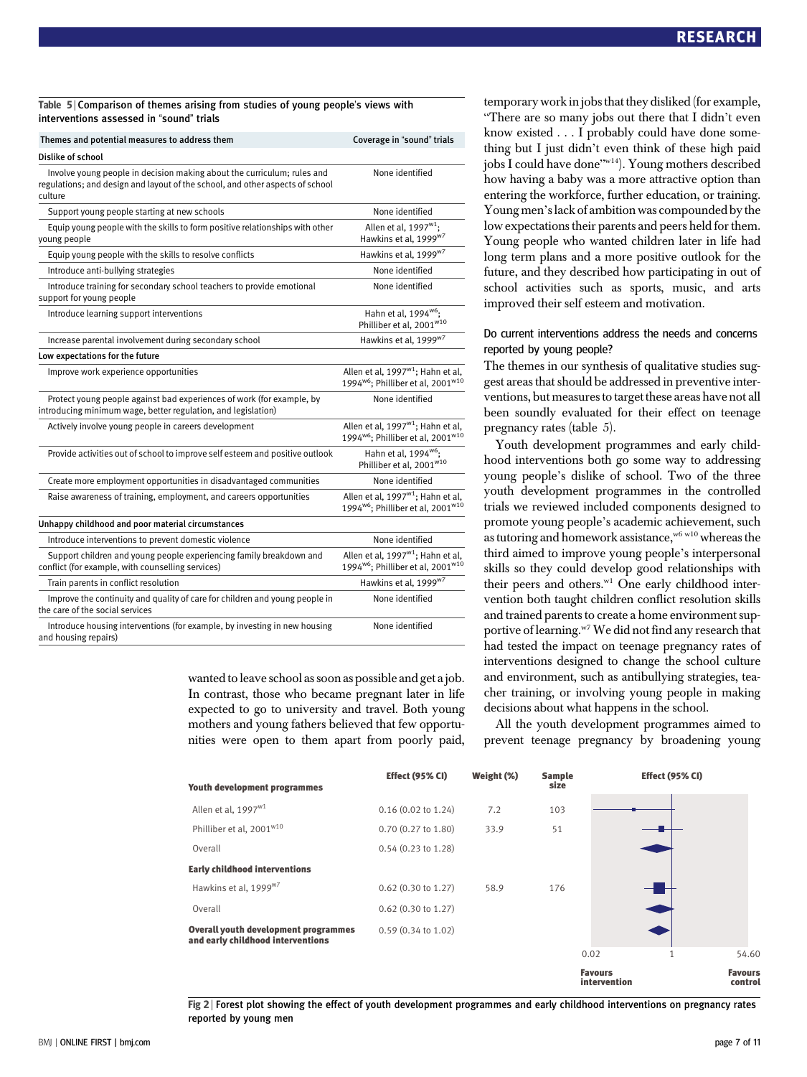## Table 5 <sup>|</sup> Comparison of themes arising from studies of young people's views with interventions assessed in "sound" trials

| Themes and potential measures to address them                                                                                                                       | Coverage in "sound" trials                                                                                 |
|---------------------------------------------------------------------------------------------------------------------------------------------------------------------|------------------------------------------------------------------------------------------------------------|
| Dislike of school                                                                                                                                                   |                                                                                                            |
| Involve young people in decision making about the curriculum; rules and<br>regulations; and design and layout of the school, and other aspects of school<br>culture | None identified                                                                                            |
| Support young people starting at new schools                                                                                                                        | None identified                                                                                            |
| Equip young people with the skills to form positive relationships with other<br>young people                                                                        | Allen et al, 1997 <sup>w1</sup> ;<br>Hawkins et al, 1999 <sup>w7</sup>                                     |
| Equip young people with the skills to resolve conflicts                                                                                                             | Hawkins et al, 1999 <sup>w7</sup>                                                                          |
| Introduce anti-bullying strategies                                                                                                                                  | None identified                                                                                            |
| Introduce training for secondary school teachers to provide emotional<br>support for young people                                                                   | None identified                                                                                            |
| Introduce learning support interventions                                                                                                                            | Hahn et al, 1994 <sup>w6</sup> ;<br>Philliber et al. 2001 <sup>w10</sup>                                   |
| Increase parental involvement during secondary school                                                                                                               | Hawkins et al, 1999 <sup>w7</sup>                                                                          |
| Low expectations for the future                                                                                                                                     |                                                                                                            |
| Improve work experience opportunities                                                                                                                               | Allen et al, 1997 <sup>w1</sup> ; Hahn et al,<br>1994 <sup>w6</sup> : Philliber et al. 2001 <sup>w10</sup> |
| Protect young people against bad experiences of work (for example, by<br>introducing minimum wage, better regulation, and legislation)                              | None identified                                                                                            |
| Actively involve young people in careers development                                                                                                                | Allen et al, 1997 <sup>w1</sup> ; Hahn et al,<br>1994 <sup>w6</sup> ; Philliber et al, 2001 <sup>w10</sup> |
| Provide activities out of school to improve self esteem and positive outlook                                                                                        | Hahn et al, 1994 <sup>w6</sup> ;<br>Philliber et al. 2001 <sup>w10</sup>                                   |
| Create more employment opportunities in disadvantaged communities                                                                                                   | None identified                                                                                            |
| Raise awareness of training, employment, and careers opportunities                                                                                                  | Allen et al, 1997 <sup>w1</sup> ; Hahn et al,<br>1994 <sup>w6</sup> ; Philliber et al, 2001 <sup>w10</sup> |
| Unhappy childhood and poor material circumstances                                                                                                                   |                                                                                                            |
| Introduce interventions to prevent domestic violence                                                                                                                | None identified                                                                                            |
| Support children and young people experiencing family breakdown and<br>conflict (for example, with counselling services)                                            | Allen et al, 1997 <sup>w1</sup> ; Hahn et al,<br>1994 <sup>w6</sup> ; Philliber et al, 2001 <sup>w10</sup> |
| Train parents in conflict resolution                                                                                                                                | Hawkins et al, 1999 <sup>w7</sup>                                                                          |
| Improve the continuity and quality of care for children and young people in<br>the care of the social services                                                      | None identified                                                                                            |
| Introduce housing interventions (for example, by investing in new housing<br>and housing repairs)                                                                   | None identified                                                                                            |

wanted to leave school as soon as possible and get a job. In contrast, those who became pregnant later in life expected to go to university and travel. Both young mothers and young fathers believed that few opportunities were open to them apart from poorly paid, temporary work in jobs that they disliked (for example, "There are so many jobs out there that I didn't even know existed ...I probably could have done something but I just didn't even think of these high paid jobs I could have done"w14). Young mothers described how having a baby was a more attractive option than entering the workforce, further education, or training. Young men's lack of ambition was compounded by the low expectations their parents and peers held for them. Young people who wanted children later in life had long term plans and a more positive outlook for the future, and they described how participating in out of school activities such as sports, music, and arts improved their self esteem and motivation.

## Do current interventions address the needs and concerns reported by young people?

The themes in our synthesis of qualitative studies suggest areas that should be addressed in preventive interventions, but measures to target these areas have not all been soundly evaluated for their effect on teenage pregnancy rates (table 5).

Youth development programmes and early childhood interventions both go some way to addressing young people's dislike of school. Two of the three youth development programmes in the controlled trials we reviewed included components designed to promote young people's academic achievement, such as tutoring and homework assistance,<sup>w6 w10</sup> whereas the third aimed to improve young people's interpersonal skills so they could develop good relationships with their peers and others.<sup>w1</sup> One early childhood intervention both taught children conflict resolution skills and trained parents to create a home environment supportive of learning.<sup>w7</sup> We did not find any research that had tested the impact on teenage pregnancy rates of interventions designed to change the school culture and environment, such as antibullying strategies, teacher training, or involving young people in making decisions about what happens in the school.

All the youth development programmes aimed to prevent teenage pregnancy by broadening young



Fig 2 <sup>|</sup> Forest plot showing the effect of youth development programmes and early childhood interventions on pregnancy rates reported by young men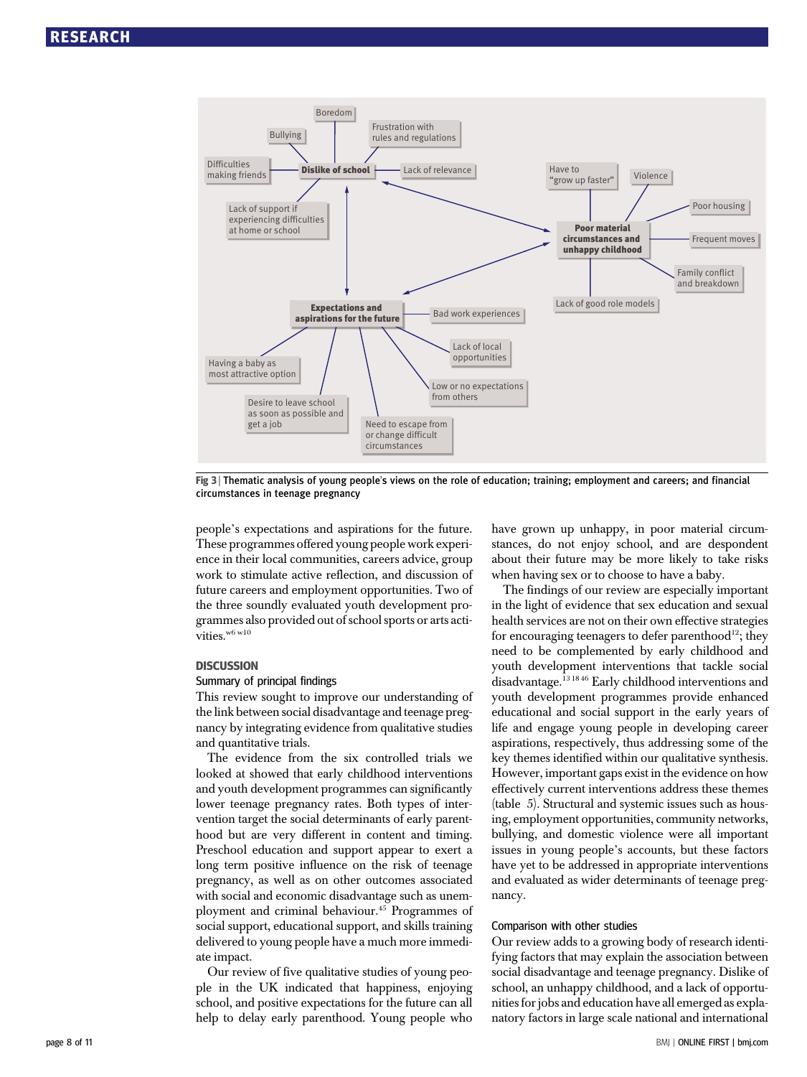

Fig 3 <sup>|</sup> Thematic analysis of young people's views on the role of education; training; employment and careers; and financial circumstances in teenage pregnancy

people's expectations and aspirations for the future. These programmes offered young people work experience in their local communities, careers advice, group work to stimulate active reflection, and discussion of future careers and employment opportunities. Two of the three soundly evaluated youth development programmes also provided out of school sports or arts activities.<sup>w6 w10</sup>

## **DISCUSSION**

## Summary of principal findings

This review sought to improve our understanding of the link between social disadvantage and teenage pregnancy by integrating evidence from qualitative studies and quantitative trials.

The evidence from the six controlled trials we looked at showed that early childhood interventions and youth development programmes can significantly lower teenage pregnancy rates. Both types of intervention target the social determinants of early parenthood but are very different in content and timing. Preschool education and support appear to exert a long term positive influence on the risk of teenage pregnancy, as well as on other outcomes associated with social and economic disadvantage such as unemployment and criminal behaviour.45 Programmes of social support, educational support, and skills training delivered to young people have a much more immediate impact.

Our review of five qualitative studies of young people in the UK indicated that happiness, enjoying school, and positive expectations for the future can all help to delay early parenthood. Young people who have grown up unhappy, in poor material circumstances, do not enjoy school, and are despondent about their future may be more likely to take risks when having sex or to choose to have a baby.

The findings of our review are especially important in the light of evidence that sex education and sexual health services are not on their own effective strategies for encouraging teenagers to defer parenthood<sup>12</sup>; they need to be complemented by early childhood and youth development interventions that tackle social disadvantage.<sup>13 18 46</sup> Early childhood interventions and youth development programmes provide enhanced educational and social support in the early years of life and engage young people in developing career aspirations, respectively, thus addressing some of the key themes identified within our qualitative synthesis. However, important gaps exist in the evidence on how effectively current interventions address these themes (table 5). Structural and systemic issues such as housing, employment opportunities, community networks, bullying, and domestic violence were all important issues in young people's accounts, but these factors have yet to be addressed in appropriate interventions and evaluated as wider determinants of teenage pregnancy.

## Comparison with other studies

Our review adds to a growing body of research identifying factors that may explain the association between social disadvantage and teenage pregnancy. Dislike of school, an unhappy childhood, and a lack of opportunities for jobs and education have all emerged as explanatory factors in large scale national and international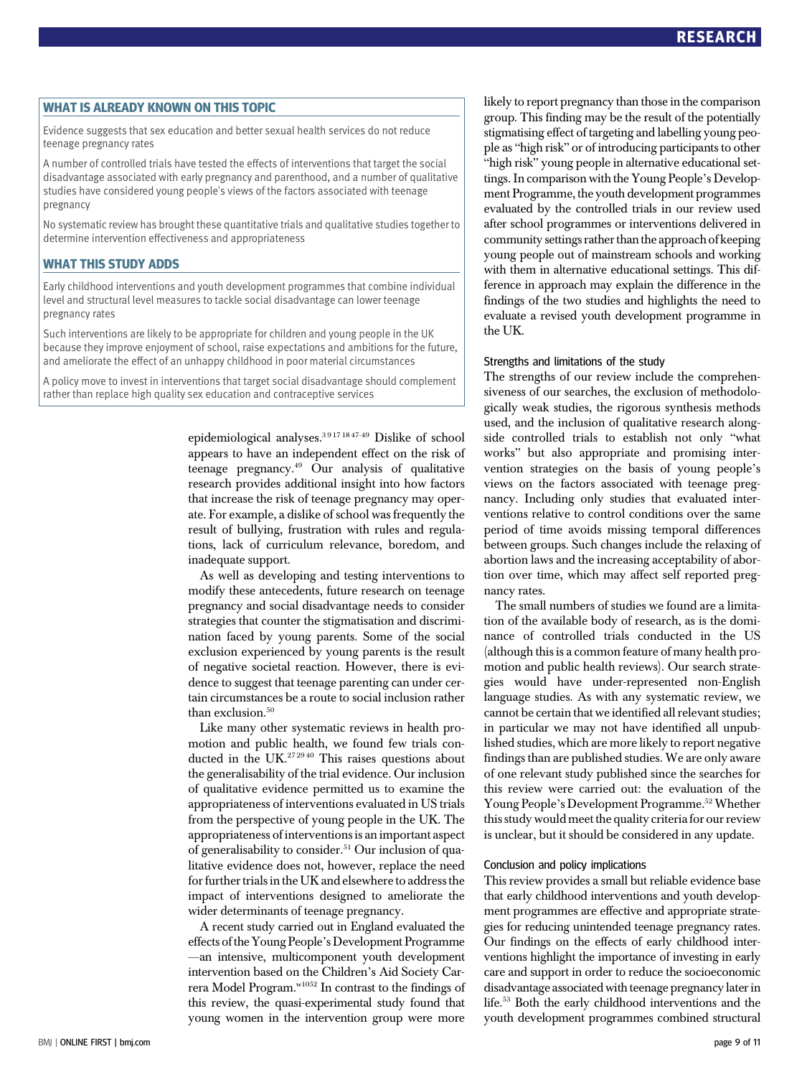WHAT IS ALREADY KNOWN ON THIS TOPIC Evidence suggests that sex education and better sexual health services do not reduce teenage pregnancy rates

A number of controlled trials have tested the effects of interventions that target the social disadvantage associated with early pregnancy and parenthood, and a number of qualitative studies have considered young people's views of the factors associated with teenage pregnancy

No systematic review has brought these quantitative trials and qualitative studies together to determine intervention effectiveness and appropriateness

WHAT THIS STUDY ADDS Early childhood interventions and youth development programmes that combine individual level and structural level measures to tackle social disadvantage can lower teenage pregnancy rates

Such interventions are likely to be appropriate for children and young people in the UK because they improve enjoyment of school, raise expectations and ambitions for the future, and ameliorate the effect of an unhappy childhood in poor material circumstances

A policy move to invest in interventions that target social disadvantage should complement rather than replace high quality sex education and contraceptive services

> epidemiological analyses.3 9 17 18 47-49 Dislike of school appears to have an independent effect on the risk of teenage pregnancy.49 Our analysis of qualitative research provides additional insight into how factors that increase the risk of teenage pregnancy may operate. For example, a dislike of school was frequently the result of bullying, frustration with rules and regulations, lack of curriculum relevance, boredom, and inadequate support.

> As well as developing and testing interventions to modify these antecedents, future research on teenage pregnancy and social disadvantage needs to consider strategies that counter the stigmatisation and discrimination faced by young parents. Some of the social exclusion experienced by young parents is the result of negative societal reaction. However, there is evidence to suggest that teenage parenting can under certain circumstances be a route to social inclusion rather than exclusion.<sup>50</sup>

> Like many other systematic reviews in health promotion and public health, we found few trials conducted in the UK.<sup>272940</sup> This raises questions about the generalisability of the trial evidence. Our inclusion of qualitative evidence permitted us to examine the appropriateness of interventions evaluated in US trials from the perspective of young people in the UK. The appropriateness of interventions is an important aspect of generalisability to consider.<sup>51</sup> Our inclusion of qualitative evidence does not, however, replace the need for further trials in the UK and elsewhere to address the impact of interventions designed to ameliorate the wider determinants of teenage pregnancy.

> A recent study carried out in England evaluated the effects ofthe Young People's Development Programme —an intensive, multicomponent youth development intervention based on the Children's Aid Society Carrera Model Program.w1052 In contrast to the findings of this review, the quasi-experimental study found that young women in the intervention group were more

likely to report pregnancy than those in the comparison group. This finding may be the result of the potentially stigmatising effect of targeting and labelling young people as "high risk" or of introducing participants to other "high risk" young people in alternative educational settings. In comparison with the Young People's Development Programme, the youth development programmes evaluated by the controlled trials in our review used after school programmes or interventions delivered in community settings rather than the approach of keeping young people out of mainstream schools and working with them in alternative educational settings. This difference in approach may explain the difference in the findings of the two studies and highlights the need to evaluate a revised youth development programme in the UK.

## Strengths and limitations of the study

The strengths of our review include the comprehensiveness of our searches, the exclusion of methodologically weak studies, the rigorous synthesis methods used, and the inclusion of qualitative research alongside controlled trials to establish not only "what works" but also appropriate and promising intervention strategies on the basis of young people's views on the factors associated with teenage pregnancy. Including only studies that evaluated interventions relative to control conditions over the same period of time avoids missing temporal differences between groups. Such changes include the relaxing of abortion laws and the increasing acceptability of abortion over time, which may affect self reported pregnancy rates.

The small numbers of studies we found are a limitation of the available body of research, as is the dominance of controlled trials conducted in the US (although this is a common feature of many health promotion and public health reviews). Our search strategies would have under-represented non-English language studies. As with any systematic review, we cannot be certain that we identified all relevant studies; in particular we may not have identified all unpublished studies, which are more likely to report negative findings than are published studies. We are only aware of one relevant study published since the searches for this review were carried out: the evaluation of the Young People's Development Programme.<sup>52</sup> Whether this study would meet the quality criteria for our review is unclear, but it should be considered in any update.

## Conclusion and policy implications

This review provides a small but reliable evidence base that early childhood interventions and youth development programmes are effective and appropriate strategies for reducing unintended teenage pregnancy rates. Our findings on the effects of early childhood interventions highlight the importance of investing in early care and support in order to reduce the socioeconomic disadvantage associated with teenage pregnancy later in life.53 Both the early childhood interventions and the youth development programmes combined structural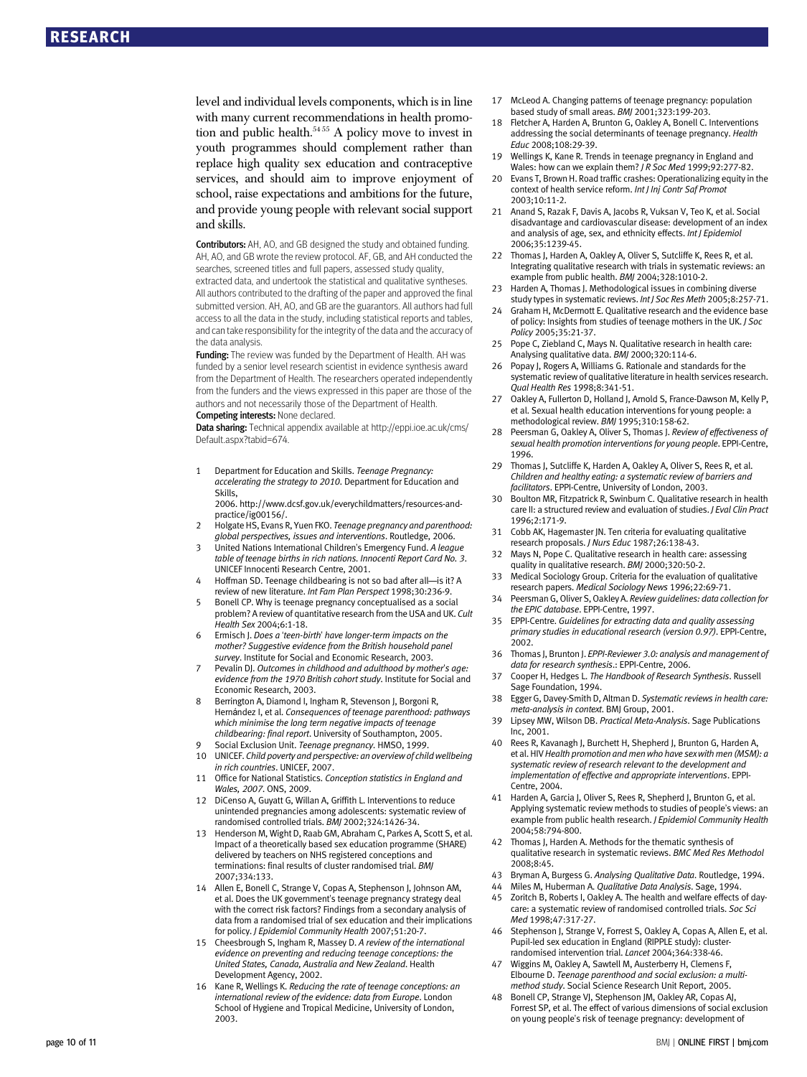level and individual levels components, which is in line with many current recommendations in health promotion and public health.<sup>54 55</sup> A policy move to invest in youth programmes should complement rather than replace high quality sex education and contraceptive services, and should aim to improve enjoyment of school, raise expectations and ambitions for the future, and provide young people with relevant social support and skills.

Contributors: AH, AO, and GB designed the study and obtained funding. AH, AO, and GB wrote the review protocol. AF, GB, and AH conducted the searches, screened titles and full papers, assessed study quality, extracted data, and undertook the statistical and qualitative syntheses. All authors contributed to the drafting of the paper and approved the final submitted version. AH, AO, and GB are the guarantors. All authors had full access to all the data in the study, including statistical reports and tables, and can take responsibility for the integrity of the data and the accuracy of the data analysis.

Funding: The review was funded by the Department of Health. AH was funded by a senior level research scientist in evidence synthesis award from the Department of Health. The researchers operated independently from the funders and the views expressed in this paper are those of the authors and not necessarily those of the Department of Health.

## Competing interests: None declared.

Data sharing: Technical appendix available at http://eppi.ioe.ac.uk/cms/ Default.aspx?tabid=674.

1 Department for Education and Skills. Teenage Pregnancy: accelerating the strategy to 2010. Department for Education and Skills, 2006. http://www.dcsf.gov.uk/everychildmatters/resources-and-

practice/ig00156/.

- 2 Holgate HS, Evans R, Yuen FKO. Teenage pregnancy and parenthood: global perspectives, issues and interventions. Routledge, 2006.
- 3 United Nations International Children's Emergency Fund. A league table of teenage births in rich nations. Innocenti Report Card No. 3. UNICEF Innocenti Research Centre, 2001.
- 4 Hoffman SD. Teenage childbearing is not so bad after all—is it? A review of new literature. Int Fam Plan Perspect 1998;30:236-9.
- 5 Bonell CP. Why is teenage pregnancy conceptualised as a social problem? A review of quantitative research from the USA and UK. Cult Health Sex 2004;6:1-18.
- 6 Ermisch J. Does a 'teen-birth' have longer-term impacts on the mother? Suggestive evidence from the British household panel survey. Institute for Social and Economic Research, 2003.
- Pevalin DI. Outcomes in childhood and adulthood by mother's age: evidence from the 1970 British cohort study. Institute for Social and Economic Research, 2003.
- 8 Berrington A, Diamond I, Ingham R, Stevenson J, Borgoni R, Hernández I, et al. Consequences of teenage parenthood: pathways which minimise the long term negative impacts of teenage childbearing: final report. University of Southampton, 2005.
- Social Exclusion Unit. Teenage pregnancy. HMSO, 1999. 10 UNICEF. Child poverty and perspective: an overview of child wellbeing in rich countries. UNICEF, 2007.
- 11 Office for National Statistics. Conception statistics in England and Wales, 2007. ONS, 2009.
- 12 DiCenso A, Guyatt G, Willan A, Griffith L. Interventions to reduce unintended pregnancies among adolescents: systematic review of randomised controlled trials. BMJ 2002;324:1426-34.
- 13 Henderson M, Wight D, Raab GM, Abraham C, Parkes A, Scott S, et al. Impact of a theoretically based sex education programme (SHARE) delivered by teachers on NHS registered conceptions and terminations: final results of cluster randomised trial. BMJ 2007;334:133.
- 14 Allen E, Bonell C, Strange V, Copas A, Stephenson J, Johnson AM, et al. Does the UK government's teenage pregnancy strategy deal with the correct risk factors? Findings from a secondary analysis of data from a randomised trial of sex education and their implications for policy. J Epidemiol Community Health 2007;51:20-7.
- 15 Cheesbrough S, Ingham R, Massey D. A review of the international evidence on preventing and reducing teenage conceptions: the United States, Canada, Australia and New Zealand. Health Development Agency, 2002.
- 16 Kane R, Wellings K. Reducing the rate of teenage conceptions: an international review of the evidence: data from Europe. London School of Hygiene and Tropical Medicine, University of London, 2003.
- 17 McLeod A. Changing patterns of teenage pregnancy: population based study of small areas. BMJ 2001;323:199-203.
- 18 Fletcher A, Harden A, Brunton G, Oakley A, Bonell C. Interventions addressing the social determinants of teenage pregnancy. Health Educ 2008;108:29-39.
- 19 Wellings K, Kane R. Trends in teenage pregnancy in England and Wales: how can we explain them? *I R Soc Med* 1999;92:277-82.
- 20 Evans T, Brown H. Road traffic crashes: Operationalizing equity in the context of health service reform. Int J Inj Contr Saf Promot 2003;10:11-2.
- 21 Anand S, Razak F, Davis A, Jacobs R, Vuksan V, Teo K, et al. Social disadvantage and cardiovascular disease: development of an index and analysis of age, sex, and ethnicity effects. Int J Epidemiol 2006;35:1239-45.
- 22 Thomas J, Harden A, Oakley A, Oliver S, Sutcliffe K, Rees R, et al. Integrating qualitative research with trials in systematic reviews: an example from public health. BMJ 2004;328:1010-2.
- 23 Harden A, Thomas J. Methodological issues in combining diverse study types in systematic reviews. Int J Soc Res Meth 2005;8:257-71.
- 24 Graham H, McDermott E. Qualitative research and the evidence base of policy: Insights from studies of teenage mothers in the UK. J Soc Policy 2005;35:21-37.
- 25 Pope C, Ziebland C, Mays N. Qualitative research in health care: Analysing qualitative data. BMJ 2000;320:114-6.
- Popay J, Rogers A, Williams G. Rationale and standards for the systematic review of qualitative literature in health services research. Qual Health Res 1998;8:341-51.
- 27 Oakley A, Fullerton D, Holland J, Arnold S, France-Dawson M, Kelly P, et al. Sexual health education interventions for young people: a methodological review. BMJ 1995;310:158-62.
- 28 Peersman G, Oakley A, Oliver S, Thomas J. Review of effectiveness of sexual health promotion interventions for young people. EPPI-Centre, 1996.
- 29 Thomas J, Sutcliffe K, Harden A, Oakley A, Oliver S, Rees R, et al. Children and healthy eating: a systematic review of barriers and facilitators. EPPI-Centre, University of London, 2003.
- Boulton MR, Fitzpatrick R, Swinburn C. Qualitative research in health care II: a structured review and evaluation of studies. J Eval Clin Pract 1996;2:171-9.
- 31 Cobb AK, Hagemaster JN. Ten criteria for evaluating qualitative research proposals. J Nurs Educ 1987;26:138-43.
- 32 Mays N, Pope C. Qualitative research in health care: assessing quality in qualitative research. BMJ 2000;320:50-2.
- 33 Medical Sociology Group. Criteria for the evaluation of qualitative research papers. Medical Sociology News 1996;22:69-71.
- Peersman G, Oliver S, Oakley A. Review guidelines: data collection for the EPIC database. EPPI-Centre, 1997.
- 35 EPPI-Centre. Guidelines for extracting data and quality assessing primary studies in educational research (version 0.97). EPPI-Centre, 2002.
- 36 Thomas I, Brunton I, EPPI-Reviewer 3.0: analysis and management of data for research synthesis.: EPPI-Centre, 2006.
- 37 Cooper H, Hedges L. The Handbook of Research Synthesis. Russell Sage Foundation, 1994.
- 38 Egger G, Davey-Smith D, Altman D. Systematic reviews in health care: meta-analysis in context. BMJ Group, 2001.
- 39 Lipsey MW, Wilson DB. Practical Meta-Analysis. Sage Publications Inc, 2001.
- Rees R, Kavanagh J, Burchett H, Shepherd J, Brunton G, Harden A, et al. HIV Health promotion and men who have sex with men (MSM): a systematic review of research relevant to the development and implementation of effective and appropriate interventions. EPPI-Centre, 2004.
- 41 Harden A, Garcia J, Oliver S, Rees R, Shepherd J, Brunton G, et al. Applying systematic review methods to studies of people's views: an example from public health research. J Epidemiol Community Health 2004;58:794-800.
- 42 Thomas J, Harden A. Methods for the thematic synthesis of qualitative research in systematic reviews. BMC Med Res Methodol 2008;8:45.
- 43 Bryman A, Burgess G. Analysing Qualitative Data. Routledge, 1994.
- Miles M, Huberman A. Qualitative Data Analysis. Sage, 1994.
- 45 Zoritch B, Roberts I, Oakley A. The health and welfare effects of daycare: a systematic review of randomised controlled trials. Soc Sci Med 1998;47:317-27.
- 46 Stephenson J, Strange V, Forrest S, Oakley A, Copas A, Allen E, et al. Pupil-led sex education in England (RIPPLE study): clusterrandomised intervention trial. Lancet 2004;364:338-46.
- 47 Wiggins M, Oakley A, Sawtell M, Austerberry H, Clemens F, Elbourne D. Teenage parenthood and social exclusion: a multimethod study. Social Science Research Unit Report, 2005.
- Bonell CP, Strange VJ, Stephenson JM, Oakley AR, Copas AJ, Forrest SP, et al. The effect of various dimensions of social exclusion on young people's risk of teenage pregnancy: development of